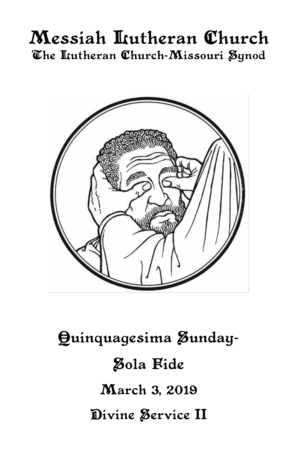# Messiah Lutheran Church The Itutheran Church-Missouri Synod



# Quinquagesima Zunday-**Zola Fide** March 3, 2019 Divine Service II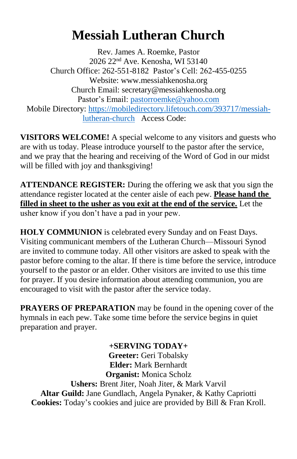# **Messiah Lutheran Church**

Rev. James A. Roemke, Pastor 2026 22nd Ave. Kenosha, WI 53140 Church Office: 262-551-8182 Pastor's Cell: 262-455-0255 Website: www.messiahkenosha.org Church Email: secretary@messiahkenosha.org Pastor's Email: [pastorroemke@yahoo.com](mailto:pastorroemke@yahoo.com) Mobile Directory: [https://mobiledirectory.lifetouch.com/393717/messiah](https://mobiledirectory.lifetouch.com/393717/messiah-lutheran-church)[lutheran-church](https://mobiledirectory.lifetouch.com/393717/messiah-lutheran-church) Access Code:

**VISITORS WELCOME!** A special welcome to any visitors and guests who are with us today. Please introduce yourself to the pastor after the service, and we pray that the hearing and receiving of the Word of God in our midst will be filled with joy and thanksgiving!

**ATTENDANCE REGISTER:** During the offering we ask that you sign the attendance register located at the center aisle of each pew. **Please hand the filled in sheet to the usher as you exit at the end of the service.** Let the usher know if you don't have a pad in your pew.

**HOLY COMMUNION** is celebrated every Sunday and on Feast Days. Visiting communicant members of the Lutheran Church—Missouri Synod are invited to commune today. All other visitors are asked to speak with the pastor before coming to the altar. If there is time before the service, introduce yourself to the pastor or an elder. Other visitors are invited to use this time for prayer. If you desire information about attending communion, you are encouraged to visit with the pastor after the service today.

**PRAYERS OF PREPARATION** may be found in the opening cover of the hymnals in each pew. Take some time before the service begins in quiet preparation and prayer.

**+SERVING TODAY+ Greeter:** Geri Tobalsky **Elder:** Mark Bernhardt **Organist:** Monica Scholz **Ushers:** Brent Jiter, Noah Jiter, & Mark Varvil **Altar Guild:** Jane Gundlach, Angela Pynaker, & Kathy Capriotti **Cookies:** Today's cookies and juice are provided by Bill & Fran Kroll.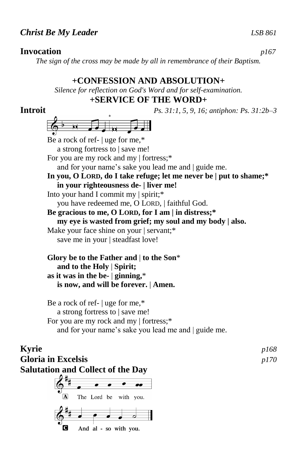# **Invocation** *p167*

*The sign of the cross may be made by all in remembrance of their Baptism.*

# **+CONFESSION AND ABSOLUTION+**

*Silence for reflection on God's Word and for self-examination.*

# **+SERVICE OF THE WORD+**

**Introit** *Ps. 31:1, 5, 9, 16; antiphon: Ps. 31:2b–3*  $\frac{1}{2}$  or  $\frac{1}{2}$  or  $\frac{1}{2}$ Be a rock of ref- | uge for me,\* a strong fortress to | save me! For you are my rock and my | fortress;\* and for your name's sake you lead me and | guide me. **In you, O LORD, do I take refuge; let me never be | put to shame;\* in your righteousness de- | liver me!** Into your hand I commit my | spirit;\* you have redeemed me, O LORD, | faithful God. **Be gracious to me, O LORD, for I am | in distress;\* my eye is wasted from grief; my soul and my body | also.** Make your face shine on your | servant;\* save me in your | steadfast love! **Glory be to the Father and** | **to the Son**\*

# **and to the Holy** | **Spirit; as it was in the be-** | **ginning,**\*  **is now, and will be forever.** | **Amen.**

Be a rock of ref- | uge for me,\* a strong fortress to | save me! For you are my rock and my | fortress;\* and for your name's sake you lead me and | guide me.

# **Kyrie** *p168* **Gloria in Excelsis** *p170* **Salutation and Collect of the Day**

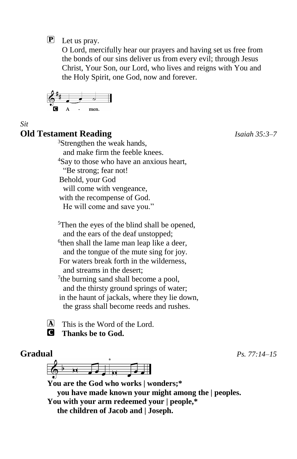P Let us pray.

O Lord, mercifully hear our prayers and having set us free from the bonds of our sins deliver us from every evil; through Jesus Christ, Your Son, our Lord, who lives and reigns with You and the Holy Spirit, one God, now and forever.

$$
\begin{array}{c|c}\n\begin{array}{ccc}\n\bullet & \bullet & \bullet & \bullet \\
\hline\n\bullet & \bullet & \bullet & \bullet\n\end{array}\n\end{array}
$$

*Sit*

# **Old Testament Reading** *Isaiah 35:3–7*

<sup>3</sup>Strengthen the weak hands, and make firm the feeble knees. <sup>4</sup>Say to those who have an anxious heart, "Be strong; fear not! Behold, your God will come with vengeance, with the recompense of God.

He will come and save you."

<sup>5</sup>Then the eyes of the blind shall be opened, and the ears of the deaf unstopped;

<sup>6</sup>then shall the lame man leap like a deer, and the tongue of the mute sing for joy. For waters break forth in the wilderness, and streams in the desert;

<sup>7</sup>the burning sand shall become a pool, and the thirsty ground springs of water; in the haunt of jackals, where they lie down, the grass shall become reeds and rushes.

 $[A]$  This is the Word of the Lord.

C **Thanks be to God.**

# **Gradual** *Ps. 77:14–15*

**You are the God who works | wonders;\* you have made known your might among the | peoples. You with your arm redeemed your | people,\* the children of Jacob and | Joseph.**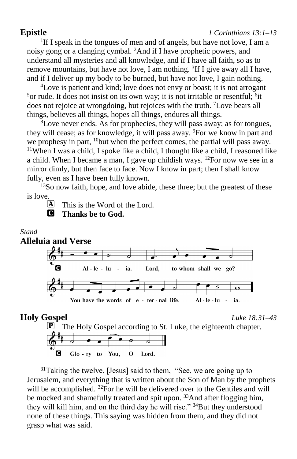## **Epistle** *1 Corinthians 13:1–13*

<sup>1</sup>If I speak in the tongues of men and of angels, but have not love, I am a noisy gong or a clanging cymbal. <sup>2</sup>And if I have prophetic powers, and understand all mysteries and all knowledge, and if I have all faith, so as to remove mountains, but have not love, I am nothing. <sup>3</sup>If I give away all I have, and if I deliver up my body to be burned, but have not love, I gain nothing.

<sup>4</sup>Love is patient and kind; love does not envy or boast; it is not arrogant <sup>5</sup> or rude. It does not insist on its own way; it is not irritable or resentful; <sup>6</sup>it does not rejoice at wrongdoing, but rejoices with the truth. <sup>7</sup>Love bears all things, believes all things, hopes all things, endures all things.

 ${}^{8}$ Love never ends. As for prophecies, they will pass away; as for tongues, they will cease; as for knowledge, it will pass away. <sup>9</sup>For we know in part and we prophesy in part, <sup>10</sup>but when the perfect comes, the partial will pass away. <sup>11</sup>When I was a child, I spoke like a child, I thought like a child, I reasoned like a child. When I became a man, I gave up childish ways. <sup>12</sup>For now we see in a mirror dimly, but then face to face. Now I know in part; then I shall know fully, even as I have been fully known.

<sup>13</sup>So now faith, hope, and love abide, these three; but the greatest of these is love.

 $[A]$  This is the Word of the Lord. C **Thanks be to God.**

Glo-ry to You,



0

<sup>31</sup>Taking the twelve, [Jesus] said to them, "See, we are going up to Jerusalem, and everything that is written about the Son of Man by the prophets will be accomplished. <sup>32</sup>For he will be delivered over to the Gentiles and will be mocked and shamefully treated and spit upon. <sup>33</sup>And after flogging him, they will kill him, and on the third day he will rise." <sup>34</sup>But they understood none of these things. This saying was hidden from them, and they did not grasp what was said.

Lord.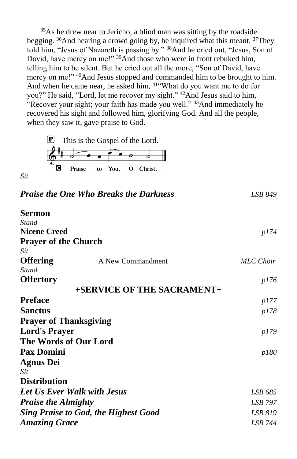<sup>35</sup>As he drew near to Jericho, a blind man was sitting by the roadside begging. <sup>36</sup>And hearing a crowd going by, he inquired what this meant. <sup>37</sup>They told him, "Jesus of Nazareth is passing by." <sup>38</sup>And he cried out, "Jesus, Son of David, have mercy on me!" <sup>39</sup>And those who were in front rebuked him, telling him to be silent. But he cried out all the more, "Son of David, have mercy on me!" <sup>40</sup>And Jesus stopped and commanded him to be brought to him. And when he came near, he asked him, <sup>41"</sup>What do you want me to do for you?" He said, "Lord, let me recover my sight." <sup>42</sup>And Jesus said to him, Recover your sight; your faith has made you well." <sup>43</sup>And immediately he recovered his sight and followed him, glorifying God. And all the people, when they saw it, gave praise to God.



*Praise the One Who Breaks the Darkness LSB 849* **Sermon** *Stand* **Nicene Creed** *p174* **Prayer of the Church** *Sit* **Offering**  $A$  New Commandment  $MLC$  *Choir Stand* **Offertory** *p176* **+SERVICE OF THE SACRAMENT+ Preface** *p177* **Sanctus** *p178* **Prayer of Thanksgiving Lord's Prayer** *p179* **The Words of Our Lord Pax Domini** *p180* **Agnus Dei** *Sit* **Distribution** *Let Us Ever Walk with Jesus LSB 685 Praise the Almighty LSB 797 Sing Praise to God, the Highest Good LSB 819 Amazing Grace LSB 744*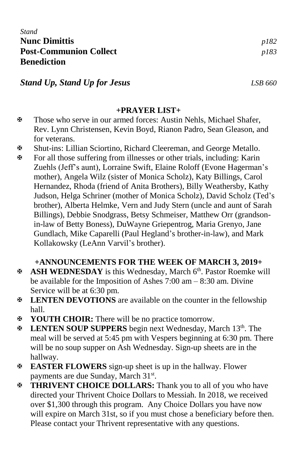*Stand* **Nunc Dimittis** *p182* **Post-Communion Collect** *p183* **Benediction**

*Stand Up, Stand Up for Jesus LSB 660*

## **+PRAYER LIST+**

- Those who serve in our armed forces: Austin Nehls, Michael Shafer, Rev. Lynn Christensen, Kevin Boyd, Rianon Padro, Sean Gleason, and for veterans.
- Shut-ins: Lillian Sciortino, Richard Cleereman, and George Metallo.
- For all those suffering from illnesses or other trials, including: Karin Zuehls (Jeff's aunt), Lorraine Swift, Elaine Roloff (Evone Hagerman's mother), Angela Wilz (sister of Monica Scholz), Katy Billings, Carol Hernandez, Rhoda (friend of Anita Brothers), Billy Weathersby, Kathy Judson, Helga Schriner (mother of Monica Scholz), David Scholz (Ted's brother), Alberta Helmke, Vern and Judy Stern (uncle and aunt of Sarah Billings), Debbie Snodgrass, Betsy Schmeiser, Matthew Orr (grandsonin-law of Betty Boness), DuWayne Griepentrog, Maria Grenyo, Jane Gundlach, Mike Caparelli (Paul Hegland's brother-in-law), and Mark Kollakowsky (LeAnn Varvil's brother).

## **+ANNOUNCEMENTS FOR THE WEEK OF MARCH 3, 2019+**

- **ASH WEDNESDAY** is this Wednesday, March 6<sup>th</sup>. Pastor Roemke will be available for the Imposition of Ashes 7:00 am – 8:30 am. Divine Service will be at 6:30 pm.
- **LENTEN DEVOTIONS** are available on the counter in the fellowship hall.
- **YOUTH CHOIR:** There will be no practice tomorrow.
- **EXECTEN SOUP SUPPERS** begin next Wednesday, March 13<sup>th</sup>. The meal will be served at 5:45 pm with Vespers beginning at 6:30 pm. There will be no soup supper on Ash Wednesday. Sign-up sheets are in the hallway.
- **EASTER FLOWERS** sign-up sheet is up in the hallway. Flower payments are due Sunday, March 31<sup>st</sup>.
- **THRIVENT CHOICE DOLLARS:** Thank you to all of you who have directed your Thrivent Choice Dollars to Messiah. In 2018, we received over \$1,300 through this program. Any Choice Dollars you have now will expire on March 31st, so if you must chose a beneficiary before then. Please contact your Thrivent representative with any questions.